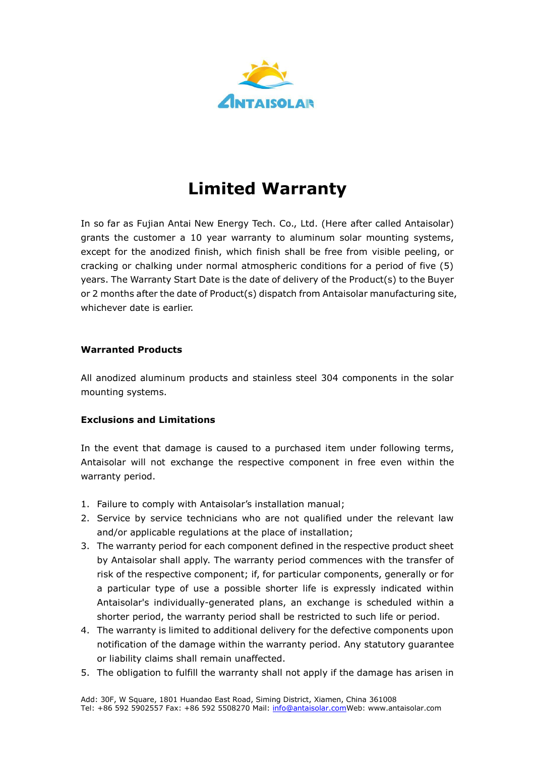

# **Limited Warranty**

In so far as Fujian Antai New Energy Tech. Co., Ltd. (Here after called Antaisolar) grants the customer a 10 year warranty to aluminum solar mounting systems, except for the anodized finish, which finish shall be free from visible peeling, or cracking or chalking under normal atmospheric conditions for a period of five (5) years. The Warranty Start Date is the date of delivery of the Product(s) to the Buyer or 2 months after the date of Product(s) dispatch from Antaisolar manufacturing site, whichever date is earlier.

### **Warranted Products**

All anodized aluminum products and stainless steel 304 components in the solar mounting systems.

# **Exclusions and Limitations**

In the event that damage is caused to a purchased item under following terms, Antaisolar will not exchange the respective component in free even within the warranty period.

- 1. Failure to comply with Antaisolar's installation manual;
- 2. Service by service technicians who are not qualified under the relevant law and/or applicable regulations at the place of installation;
- 3. The warranty period for each component defined in the respective product sheet by Antaisolar shall apply. The warranty period commences with the transfer of risk of the respective component; if, for particular components, generally or for a particular type of use a possible shorter life is expressly indicated within Antaisolar's individually-generated plans, an exchange is scheduled within a shorter period, the warranty period shall be restricted to such life or period.
- 4. The warranty is limited to additional delivery for the defective components upon notification of the damage within the warranty period. Any statutory guarantee or liability claims shall remain unaffected.
- 5. The obligation to fulfill the warranty shall not apply if the damage has arisen in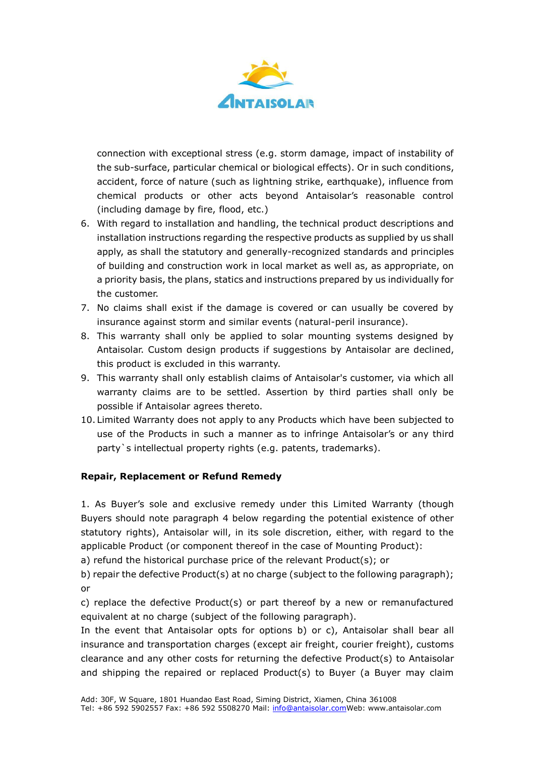

connection with exceptional stress (e.g. storm damage, impact of instability of the sub-surface, particular chemical or biological effects). Or in such conditions, accident, force of nature (such as lightning strike, earthquake), influence from chemical products or other acts beyond Antaisolar's reasonable control (including damage by fire, flood, etc.)

- 6. With regard to installation and handling, the technical product descriptions and installation instructions regarding the respective products as supplied by us shall apply, as shall the statutory and generally-recognized standards and principles of building and construction work in local market as well as, as appropriate, on a priority basis, the plans, statics and instructions prepared by us individually for the customer.
- 7. No claims shall exist if the damage is covered or can usually be covered by insurance against storm and similar events (natural-peril insurance).
- 8. This warranty shall only be applied to solar mounting systems designed by Antaisolar. Custom design products if suggestions by Antaisolar are declined, this product is excluded in this warranty.
- 9. This warranty shall only establish claims of Antaisolar's customer, via which all warranty claims are to be settled. Assertion by third parties shall only be possible if Antaisolar agrees thereto.
- 10. Limited Warranty does not apply to any Products which have been subjected to use of the Products in such a manner as to infringe Antaisolar's or any third party`s intellectual property rights (e.g. patents, trademarks).

# **Repair, Replacement or Refund Remedy**

1. As Buyer's sole and exclusive remedy under this Limited Warranty (though Buyers should note paragraph 4 below regarding the potential existence of other statutory rights), Antaisolar will, in its sole discretion, either, with regard to the applicable Product (or component thereof in the case of Mounting Product):

a) refund the historical purchase price of the relevant Product(s); or

b) repair the defective Product(s) at no charge (subject to the following paragraph); or

c) replace the defective Product(s) or part thereof by a new or remanufactured equivalent at no charge (subject of the following paragraph).

In the event that Antaisolar opts for options b) or c), Antaisolar shall bear all insurance and transportation charges (except air freight, courier freight), customs clearance and any other costs for returning the defective Product(s) to Antaisolar and shipping the repaired or replaced Product(s) to Buyer (a Buyer may claim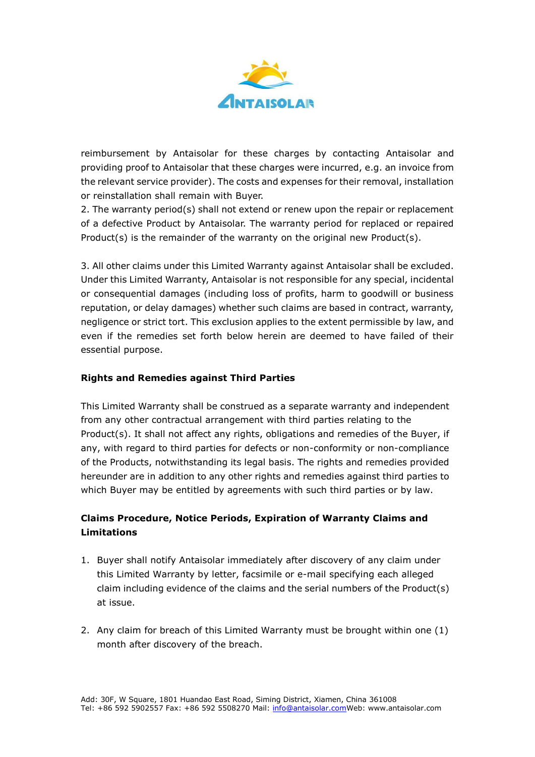

reimbursement by Antaisolar for these charges by contacting Antaisolar and providing proof to Antaisolar that these charges were incurred, e.g. an invoice from the relevant service provider). The costs and expenses for their removal, installation or reinstallation shall remain with Buyer.

2. The warranty period(s) shall not extend or renew upon the repair or replacement of a defective Product by Antaisolar. The warranty period for replaced or repaired Product(s) is the remainder of the warranty on the original new Product(s).

3. All other claims under this Limited Warranty against Antaisolar shall be excluded. Under this Limited Warranty, Antaisolar is not responsible for any special, incidental or consequential damages (including loss of profits, harm to goodwill or business reputation, or delay damages) whether such claims are based in contract, warranty, negligence or strict tort. This exclusion applies to the extent permissible by law, and even if the remedies set forth below herein are deemed to have failed of their essential purpose.

## **Rights and Remedies against Third Parties**

This Limited Warranty shall be construed as a separate warranty and independent from any other contractual arrangement with third parties relating to the Product(s). It shall not affect any rights, obligations and remedies of the Buyer, if any, with regard to third parties for defects or non-conformity or non-compliance of the Products, notwithstanding its legal basis. The rights and remedies provided hereunder are in addition to any other rights and remedies against third parties to which Buyer may be entitled by agreements with such third parties or by law.

# **Claims Procedure, Notice Periods, Expiration of Warranty Claims and Limitations**

- 1. Buyer shall notify Antaisolar immediately after discovery of any claim under this Limited Warranty by letter, facsimile or e-mail specifying each alleged claim including evidence of the claims and the serial numbers of the Product(s) at issue.
- 2. Any claim for breach of this Limited Warranty must be brought within one (1) month after discovery of the breach.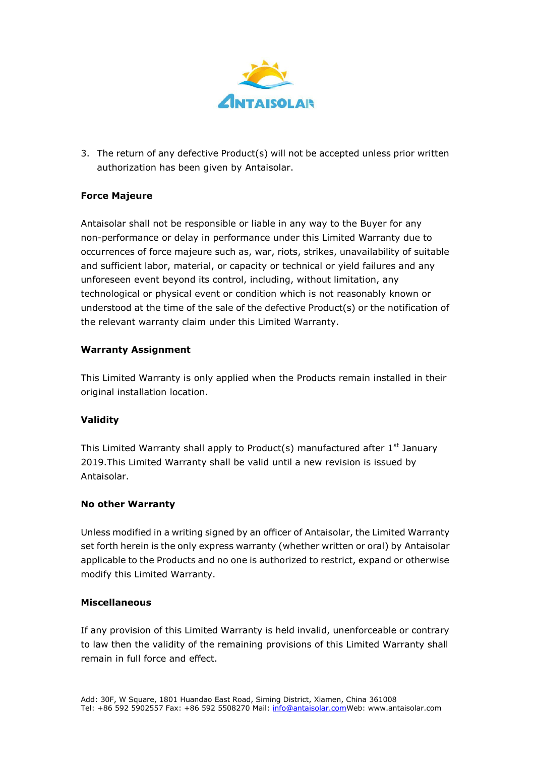

3. The return of any defective Product(s) will not be accepted unless prior written authorization has been given by Antaisolar.

### **Force Majeure**

Antaisolar shall not be responsible or liable in any way to the Buyer for any non-performance or delay in performance under this Limited Warranty due to occurrences of force majeure such as, war, riots, strikes, unavailability of suitable and sufficient labor, material, or capacity or technical or yield failures and any unforeseen event beyond its control, including, without limitation, any technological or physical event or condition which is not reasonably known or understood at the time of the sale of the defective Product(s) or the notification of the relevant warranty claim under this Limited Warranty.

#### **Warranty Assignment**

This Limited Warranty is only applied when the Products remain installed in their original installation location.

#### **Validity**

This Limited Warranty shall apply to Product(s) manufactured after  $1<sup>st</sup>$  January 2019.This Limited Warranty shall be valid until a new revision is issued by Antaisolar.

#### **No other Warranty**

Unless modified in a writing signed by an officer of Antaisolar, the Limited Warranty set forth herein is the only express warranty (whether written or oral) by Antaisolar applicable to the Products and no one is authorized to restrict, expand or otherwise modify this Limited Warranty.

#### **Miscellaneous**

If any provision of this Limited Warranty is held invalid, unenforceable or contrary to law then the validity of the remaining provisions of this Limited Warranty shall remain in full force and effect.